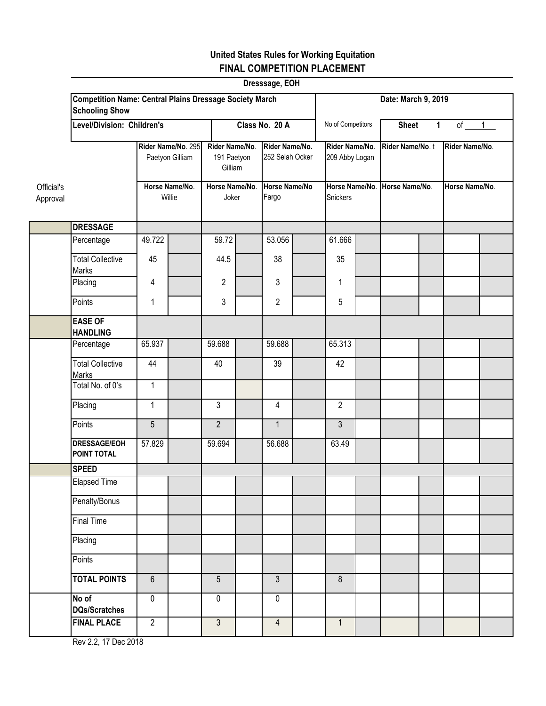# **United States Rules for Working Equitation FINAL COMPETITION PLACEMENT**

|                        |                                                                                         |                          |                                       |                         |                                          | Dresssage, EOH         |                                   |                   |                                  |                                           |                 |                |                |
|------------------------|-----------------------------------------------------------------------------------------|--------------------------|---------------------------------------|-------------------------|------------------------------------------|------------------------|-----------------------------------|-------------------|----------------------------------|-------------------------------------------|-----------------|----------------|----------------|
|                        | <b>Competition Name: Central Plains Dressage Society March</b><br><b>Schooling Show</b> |                          |                                       |                         |                                          |                        |                                   |                   |                                  |                                           |                 |                |                |
|                        | Level/Division: Children's                                                              |                          |                                       | Class No. 20 A          |                                          |                        |                                   | No of Competitors |                                  | $of \t 1$<br>$\mathbf{1}$<br><b>Sheet</b> |                 |                |                |
|                        |                                                                                         |                          | Rider Name/No. 295<br>Paetyon Gilliam |                         | Rider Name/No.<br>191 Paetyon<br>Gilliam |                        | Rider Name/No.<br>252 Selah Ocker |                   | Rider Name/No.<br>209 Abby Logan |                                           | Rider Name/No.t |                | Rider Name/No. |
| Official's<br>Approval |                                                                                         | Horse Name/No.<br>Willie |                                       | Horse Name/No.<br>Joker |                                          | Horse Name/No<br>Fargo |                                   | Snickers          |                                  | Horse Name/No. Horse Name/No.             |                 | Horse Name/No. |                |
|                        | <b>DRESSAGE</b>                                                                         |                          |                                       |                         |                                          |                        |                                   |                   |                                  |                                           |                 |                |                |
|                        | Percentage                                                                              | 49.722                   |                                       | 59.72                   |                                          | 53.056                 |                                   | 61.666            |                                  |                                           |                 |                |                |
|                        | <b>Total Collective</b><br>Marks                                                        | 45                       |                                       | 44.5                    |                                          | 38                     |                                   | 35                |                                  |                                           |                 |                |                |
|                        | Placing                                                                                 | 4                        |                                       | $\overline{2}$          |                                          | 3                      |                                   | 1                 |                                  |                                           |                 |                |                |
|                        | Points                                                                                  | 1                        |                                       | 3                       |                                          | $\overline{c}$         |                                   | 5                 |                                  |                                           |                 |                |                |
|                        | <b>EASE OF</b><br><b>HANDLING</b>                                                       |                          |                                       |                         |                                          |                        |                                   |                   |                                  |                                           |                 |                |                |
|                        | Percentage                                                                              | 65.937                   |                                       | 59.688                  |                                          | 59.688                 |                                   | 65.313            |                                  |                                           |                 |                |                |
|                        | <b>Total Collective</b><br>Marks                                                        | 44                       |                                       | 40                      |                                          | 39                     |                                   | 42                |                                  |                                           |                 |                |                |
|                        | Total No. of 0's                                                                        | $\mathbf{1}$             |                                       |                         |                                          |                        |                                   |                   |                                  |                                           |                 |                |                |
|                        | Placing                                                                                 | $\mathbf{1}$             |                                       | $\overline{3}$          |                                          | $\overline{4}$         |                                   | $\overline{2}$    |                                  |                                           |                 |                |                |
|                        | Points                                                                                  | 5                        |                                       | $\overline{2}$          |                                          | $\mathbf{1}$           |                                   | 3                 |                                  |                                           |                 |                |                |
|                        | <b>DRESSAGE/EOH</b><br><b>POINT TOTAL</b>                                               | 57.829                   |                                       | 59.694                  |                                          | 56.688                 |                                   | 63.49             |                                  |                                           |                 |                |                |
|                        | <b>SPEED</b>                                                                            |                          |                                       |                         |                                          |                        |                                   |                   |                                  |                                           |                 |                |                |
|                        | <b>Elapsed Time</b>                                                                     |                          |                                       |                         |                                          |                        |                                   |                   |                                  |                                           |                 |                |                |
|                        | Penalty/Bonus                                                                           |                          |                                       |                         |                                          |                        |                                   |                   |                                  |                                           |                 |                |                |
|                        | <b>Final Time</b>                                                                       |                          |                                       |                         |                                          |                        |                                   |                   |                                  |                                           |                 |                |                |
|                        | Placing                                                                                 |                          |                                       |                         |                                          |                        |                                   |                   |                                  |                                           |                 |                |                |
|                        | Points                                                                                  |                          |                                       |                         |                                          |                        |                                   |                   |                                  |                                           |                 |                |                |
|                        | <b>TOTAL POINTS</b>                                                                     | $6\phantom{a}$           |                                       | $\overline{5}$          |                                          | $\overline{3}$         |                                   | 8                 |                                  |                                           |                 |                |                |
|                        | No of<br><b>DQs/Scratches</b>                                                           | $\pmb{0}$                |                                       | $\mathbf 0$             |                                          | 0                      |                                   |                   |                                  |                                           |                 |                |                |
|                        | <b>FINAL PLACE</b>                                                                      | $\overline{2}$           |                                       | $\overline{3}$          |                                          | $\overline{4}$         |                                   | $\mathbf{1}$      |                                  |                                           |                 |                |                |

Rev 2.2, 17 Dec 2018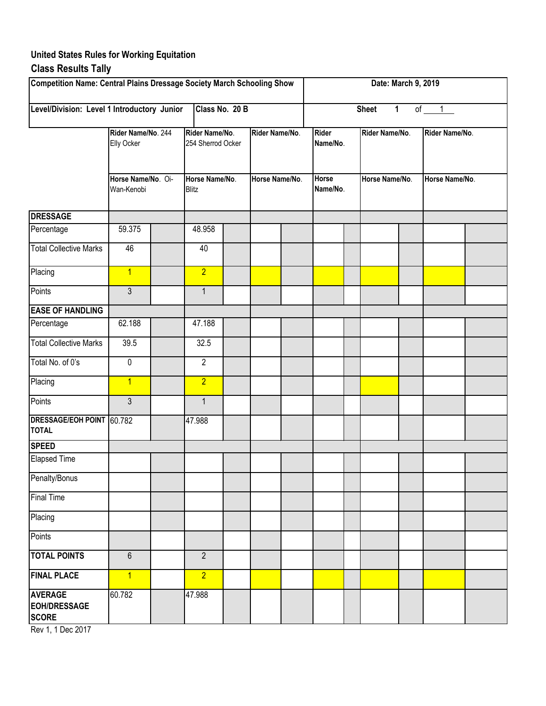#### **United States Rules for Working Equitation Class Results Tally**

| Competition Name: Central Plains Dressage Society March Schooling Show |                                                                      |  |                                     |  |                |  |                          |                                                                                                  |  |  |                |  |
|------------------------------------------------------------------------|----------------------------------------------------------------------|--|-------------------------------------|--|----------------|--|--------------------------|--------------------------------------------------------------------------------------------------|--|--|----------------|--|
| Level/Division: Level 1 Introductory Junior                            |                                                                      |  | Class No. 20 B                      |  |                |  |                          | Date: March 9, 2019<br>of $1$<br><b>Sheet</b><br>$\mathbf 1$<br>Rider Name/No.<br>Horse Name/No. |  |  |                |  |
|                                                                        | Rider Name/No. 244<br>Elly Ocker<br>Horse Name/No. Oi-<br>Wan-Kenobi |  | Rider Name/No.<br>254 Sherrod Ocker |  | Rider Name/No. |  | <b>Rider</b><br>Name/No. |                                                                                                  |  |  | Rider Name/No. |  |
|                                                                        |                                                                      |  | Horse Name/No.<br><b>Blitz</b>      |  | Horse Name/No. |  | <b>Horse</b><br>Name/No. |                                                                                                  |  |  | Horse Name/No. |  |
| <b>DRESSAGE</b>                                                        |                                                                      |  |                                     |  |                |  |                          |                                                                                                  |  |  |                |  |
| Percentage                                                             | 59.375                                                               |  | 48.958                              |  |                |  |                          |                                                                                                  |  |  |                |  |
| <b>Total Collective Marks</b>                                          | 46                                                                   |  | 40                                  |  |                |  |                          |                                                                                                  |  |  |                |  |
| Placing                                                                | $\overline{1}$                                                       |  | $\overline{2}$                      |  |                |  |                          |                                                                                                  |  |  |                |  |
| Points                                                                 | 3                                                                    |  | $\mathbf{1}$                        |  |                |  |                          |                                                                                                  |  |  |                |  |
| <b>EASE OF HANDLING</b>                                                |                                                                      |  |                                     |  |                |  |                          |                                                                                                  |  |  |                |  |
| Percentage                                                             | 62.188                                                               |  | 47.188                              |  |                |  |                          |                                                                                                  |  |  |                |  |
| <b>Total Collective Marks</b>                                          | 39.5                                                                 |  | 32.5                                |  |                |  |                          |                                                                                                  |  |  |                |  |
| Total No. of 0's                                                       | $\pmb{0}$                                                            |  | $\overline{2}$                      |  |                |  |                          |                                                                                                  |  |  |                |  |
| Placing                                                                | $\overline{1}$                                                       |  | $\overline{2}$                      |  |                |  |                          |                                                                                                  |  |  |                |  |
| Points                                                                 | 3                                                                    |  | $\mathbf{1}$                        |  |                |  |                          |                                                                                                  |  |  |                |  |
| DRESSAGE/EOH POINT 60.782<br><b>TOTAL</b>                              |                                                                      |  | 47.988                              |  |                |  |                          |                                                                                                  |  |  |                |  |
| <b>SPEED</b>                                                           |                                                                      |  |                                     |  |                |  |                          |                                                                                                  |  |  |                |  |
| <b>Elapsed Time</b>                                                    |                                                                      |  |                                     |  |                |  |                          |                                                                                                  |  |  |                |  |
| Penalty/Bonus                                                          |                                                                      |  |                                     |  |                |  |                          |                                                                                                  |  |  |                |  |
| <b>Final Time</b>                                                      |                                                                      |  |                                     |  |                |  |                          |                                                                                                  |  |  |                |  |
| Placing                                                                |                                                                      |  |                                     |  |                |  |                          |                                                                                                  |  |  |                |  |
| Points                                                                 |                                                                      |  |                                     |  |                |  |                          |                                                                                                  |  |  |                |  |
| <b>TOTAL POINTS</b>                                                    | $6\phantom{1}$                                                       |  | $\overline{2}$                      |  |                |  |                          |                                                                                                  |  |  |                |  |
| <b>FINAL PLACE</b>                                                     | $\overline{1}$                                                       |  | $\overline{2}$                      |  |                |  |                          |                                                                                                  |  |  |                |  |
| <b>AVERAGE</b><br><b>EOH/DRESSAGE</b><br><b>SCORE</b>                  | 60.782                                                               |  | 47.988                              |  |                |  |                          |                                                                                                  |  |  |                |  |

Rev 1, 1 Dec 2017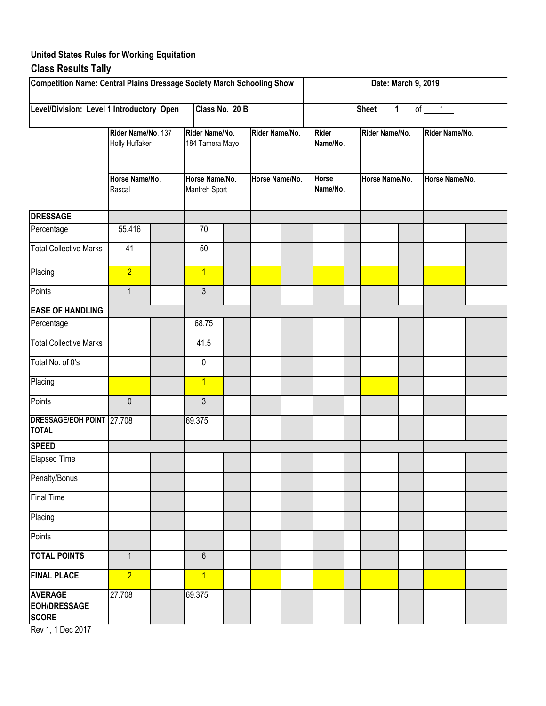## **United States Rules for Working Equitation Class Results Tally**

| Competition Name: Central Plains Dressage Society March Schooling Show |                                                                  |  |                                   |  |                |  |                          |  | Date: March 9, 2019          |  |                |  |  |  |
|------------------------------------------------------------------------|------------------------------------------------------------------|--|-----------------------------------|--|----------------|--|--------------------------|--|------------------------------|--|----------------|--|--|--|
| Level/Division: Level 1 Introductory Open                              |                                                                  |  | Class No. 20 B                    |  |                |  |                          |  | $\mathbf{1}$<br><b>Sheet</b> |  | of $1$         |  |  |  |
|                                                                        | Rider Name/No. 137<br>Holly Huffaker<br>Horse Name/No.<br>Rascal |  | Rider Name/No.<br>184 Tamera Mayo |  | Rider Name/No. |  | <b>Rider</b><br>Name/No. |  | Rider Name/No.               |  | Rider Name/No. |  |  |  |
|                                                                        |                                                                  |  | Horse Name/No.<br>Mantreh Sport   |  | Horse Name/No. |  | <b>Horse</b><br>Name/No. |  | Horse Name/No.               |  | Horse Name/No. |  |  |  |
| <b>DRESSAGE</b>                                                        |                                                                  |  |                                   |  |                |  |                          |  |                              |  |                |  |  |  |
| Percentage                                                             | 55.416                                                           |  | 70                                |  |                |  |                          |  |                              |  |                |  |  |  |
| <b>Total Collective Marks</b>                                          | 41                                                               |  | 50                                |  |                |  |                          |  |                              |  |                |  |  |  |
| Placing                                                                | $\overline{2}$                                                   |  | $\overline{1}$                    |  |                |  |                          |  |                              |  |                |  |  |  |
| Points                                                                 | $\mathbf{1}$                                                     |  | 3                                 |  |                |  |                          |  |                              |  |                |  |  |  |
| <b>EASE OF HANDLING</b>                                                |                                                                  |  |                                   |  |                |  |                          |  |                              |  |                |  |  |  |
| Percentage                                                             |                                                                  |  | 68.75                             |  |                |  |                          |  |                              |  |                |  |  |  |
| <b>Total Collective Marks</b>                                          |                                                                  |  | 41.5                              |  |                |  |                          |  |                              |  |                |  |  |  |
| Total No. of 0's                                                       |                                                                  |  | 0                                 |  |                |  |                          |  |                              |  |                |  |  |  |
| Placing                                                                |                                                                  |  | $\overline{1}$                    |  |                |  |                          |  |                              |  |                |  |  |  |
| Points                                                                 | $\mathbf 0$                                                      |  | $\mathfrak{Z}$                    |  |                |  |                          |  |                              |  |                |  |  |  |
| DRESSAGE/EOH POINT 27.708<br><b>TOTAL</b>                              |                                                                  |  | 69.375                            |  |                |  |                          |  |                              |  |                |  |  |  |
| <b>SPEED</b>                                                           |                                                                  |  |                                   |  |                |  |                          |  |                              |  |                |  |  |  |
| <b>Elapsed Time</b>                                                    |                                                                  |  |                                   |  |                |  |                          |  |                              |  |                |  |  |  |
| Penalty/Bonus                                                          |                                                                  |  |                                   |  |                |  |                          |  |                              |  |                |  |  |  |
| <b>Final Time</b>                                                      |                                                                  |  |                                   |  |                |  |                          |  |                              |  |                |  |  |  |
| Placing                                                                |                                                                  |  |                                   |  |                |  |                          |  |                              |  |                |  |  |  |
| Points                                                                 |                                                                  |  |                                   |  |                |  |                          |  |                              |  |                |  |  |  |
| <b>TOTAL POINTS</b>                                                    | $\mathbf{1}$                                                     |  | $\boldsymbol{6}$                  |  |                |  |                          |  |                              |  |                |  |  |  |
| <b>FINAL PLACE</b>                                                     | $\overline{2}$                                                   |  | $\overline{1}$                    |  |                |  |                          |  |                              |  |                |  |  |  |
| <b>AVERAGE</b><br><b>EOH/DRESSAGE</b><br><b>SCORE</b>                  | 27.708                                                           |  | 69.375                            |  |                |  |                          |  |                              |  |                |  |  |  |

Rev 1, 1 Dec 2017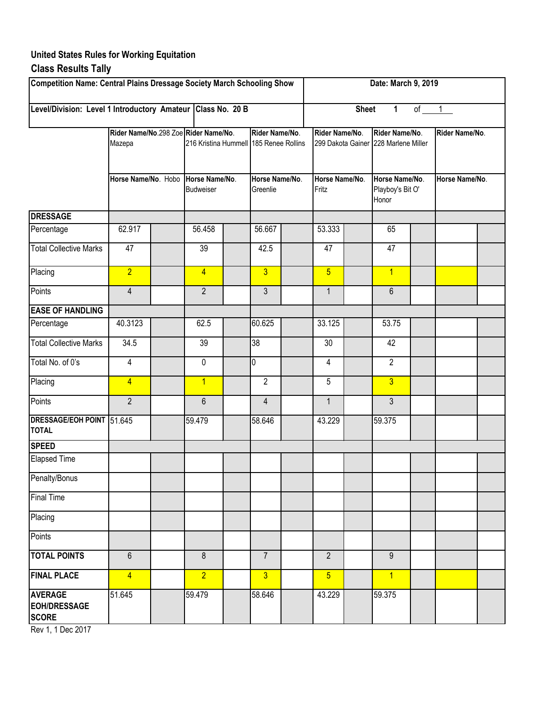### **United States Rules for Working Equitation Class Results Tally**

#### **DRESSAGE** Percentage | 62.917 | | 56.458 | | 56.667 | | 53.333 | | 65 Total Collective Marks | 47 | | 39 | | 42.5 | | 47 | | 47 Placing <mark>| 2 | 4 3 | 5 | 1</mark> Points 4 3 1 6 **EASE OF HANDLING** Percentage 140.3123 62.5 60.625 53.125 53.75 Total Collective Marks | 34.5 | | 39 | | 38 | | | 30 | | | | 42 Total No. of 0's  $\begin{array}{|c|c|c|c|c|c|c|c|c|} \hline 4 & 0 & 0 & 0 & 4 & 2 \ \hline \end{array}$ Placing <mark>| 4 | 1 2 5 <mark> 3</mark></mark> Points 2 2 1 6 1 4 1 1 3 **DRESSAGE/EOH POINT TOTAL** 51.645 58.646 43.229 59.375 **SPEED** Elapsed Time Penalty/Bonus Final Time Placing **Points TOTAL POINTS** 6 6 8 8 7 7 2 2 9 **FINAL PLACE** 4 4 2 3 3 5 5 1 **AVERAGE EOH/DRESSAGE SCORE** 51.645 58.646 43.229 59.375 **Rider Name/No**. **Horse Name/No**. **Rider Name/No**. 299 Dakota Gainer 228 Marlene Miller **Horse Name/No**. Playboy's Bit O' Honor 8 2 59.479 6 59.479 39 0 1 62.5 39 4 2 56.458 **Rider Name/No**.298 Zoe **Rider Name/No**. Mazepa 216 Kristina Hummell 185 Renee Rollins **Rider Name/No**. **Rider Name/No**. **Horse Name/No**. Hobo **Horse Name/No**. Budweiser **Horse Name/No**. Greenlie **Horse Name/No**. Fritz **Competition Name: Central Plains Dressage Society March Schooling Show Level/Division: Level 1 Introductory Amateur Class No. 20 B Date: March 9, 2019 Sheet 1** of 1

Rev 1, 1 Dec 2017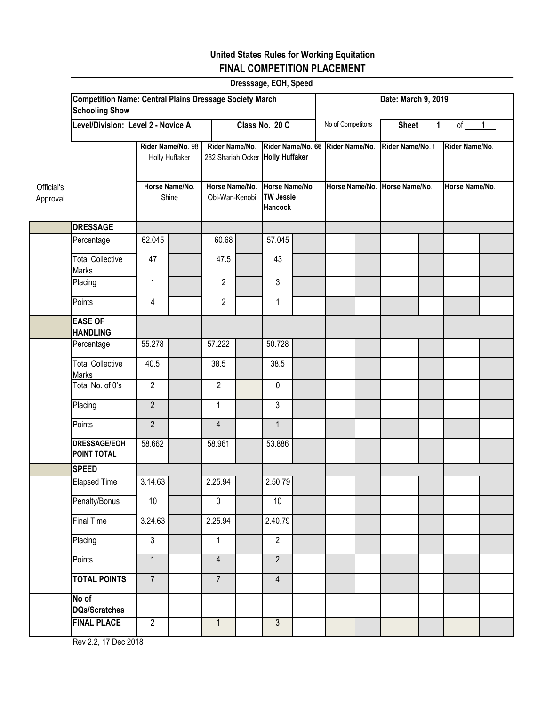# **United States Rules for Working Equitation FINAL COMPETITION PLACEMENT**

|                        |                                                                                         |                |                                     |                                  |                                                    | Dresssage, EOH, Speed                               |                   |                |                   |                               |              |                |  |
|------------------------|-----------------------------------------------------------------------------------------|----------------|-------------------------------------|----------------------------------|----------------------------------------------------|-----------------------------------------------------|-------------------|----------------|-------------------|-------------------------------|--------------|----------------|--|
|                        | <b>Competition Name: Central Plains Dressage Society March</b><br><b>Schooling Show</b> |                | Date: March 9, 2019                 |                                  |                                                    |                                                     |                   |                |                   |                               |              |                |  |
|                        | Level/Division: Level 2 - Novice A                                                      |                |                                     |                                  | Class No. 20 C                                     |                                                     |                   |                | No of Competitors | <b>Sheet</b>                  | $\mathbf{1}$ | of $1$         |  |
|                        |                                                                                         |                | Rider Name/No. 98<br>Holly Huffaker |                                  | Rider Name/No.<br>282 Shariah Ocker Holly Huffaker |                                                     | Rider Name/No. 66 | Rider Name/No. |                   | Rider Name/No.t               |              | Rider Name/No. |  |
| Official's<br>Approval |                                                                                         |                | Horse Name/No.<br>Shine             | Horse Name/No.<br>Obi-Wan-Kenobi |                                                    | Horse Name/No<br><b>TW Jessie</b><br><b>Hancock</b> |                   |                |                   | Horse Name/No. Horse Name/No. |              | Horse Name/No. |  |
|                        | <b>DRESSAGE</b>                                                                         |                |                                     |                                  |                                                    |                                                     |                   |                |                   |                               |              |                |  |
|                        | Percentage                                                                              | 62.045         |                                     | 60.68                            |                                                    | 57.045                                              |                   |                |                   |                               |              |                |  |
|                        | <b>Total Collective</b><br><b>Marks</b>                                                 | 47             |                                     | 47.5                             |                                                    | 43                                                  |                   |                |                   |                               |              |                |  |
|                        | Placing                                                                                 | 1              |                                     | $\overline{c}$                   |                                                    | 3                                                   |                   |                |                   |                               |              |                |  |
|                        | Points                                                                                  | 4              |                                     | $\overline{2}$                   |                                                    | 1                                                   |                   |                |                   |                               |              |                |  |
|                        | <b>EASE OF</b><br><b>HANDLING</b>                                                       |                |                                     |                                  |                                                    |                                                     |                   |                |                   |                               |              |                |  |
|                        | Percentage                                                                              | 55.278         |                                     | 57.222                           |                                                    | 50.728                                              |                   |                |                   |                               |              |                |  |
|                        | <b>Total Collective</b><br>Marks                                                        | 40.5           |                                     | 38.5                             |                                                    | 38.5                                                |                   |                |                   |                               |              |                |  |
|                        | Total No. of 0's                                                                        | $\overline{2}$ |                                     | $\overline{2}$                   |                                                    | $\pmb{0}$                                           |                   |                |                   |                               |              |                |  |
|                        | Placing                                                                                 | $\overline{2}$ |                                     | $\mathbf{1}$                     |                                                    | $\overline{3}$                                      |                   |                |                   |                               |              |                |  |
|                        | Points                                                                                  | $\overline{2}$ |                                     | $\overline{4}$                   |                                                    | $\mathbf{1}$                                        |                   |                |                   |                               |              |                |  |
|                        | <b>DRESSAGE/EOH</b><br>POINT TOTAL                                                      | 58.662         |                                     | 58.961                           |                                                    | 53.886                                              |                   |                |                   |                               |              |                |  |
|                        | <b>SPEED</b>                                                                            |                |                                     |                                  |                                                    |                                                     |                   |                |                   |                               |              |                |  |
|                        | Elapsed Time                                                                            | 3.14.63        |                                     | 2.25.94                          |                                                    | 2.50.79                                             |                   |                |                   |                               |              |                |  |
|                        | Penalty/Bonus                                                                           | $10\,$         |                                     | $\overline{0}$                   |                                                    | 10                                                  |                   |                |                   |                               |              |                |  |
|                        | <b>Final Time</b>                                                                       | 3.24.63        |                                     | 2.25.94                          |                                                    | 2.40.79                                             |                   |                |                   |                               |              |                |  |
|                        | Placing                                                                                 | $\overline{3}$ |                                     | $\mathbf{1}$                     |                                                    | $\overline{2}$                                      |                   |                |                   |                               |              |                |  |
|                        | Points                                                                                  | $\overline{1}$ |                                     | $\overline{4}$                   |                                                    | $\overline{2}$                                      |                   |                |                   |                               |              |                |  |
|                        | <b>TOTAL POINTS</b>                                                                     | $\overline{7}$ |                                     | $7^{\circ}$                      |                                                    | $\overline{4}$                                      |                   |                |                   |                               |              |                |  |
|                        | No of<br><b>DQs/Scratches</b>                                                           |                |                                     |                                  |                                                    |                                                     |                   |                |                   |                               |              |                |  |
|                        | <b>FINAL PLACE</b>                                                                      | $\overline{2}$ |                                     | $\mathbf{1}$                     |                                                    | $\mathbf{3}$                                        |                   |                |                   |                               |              |                |  |

Rev 2.2, 17 Dec 2018